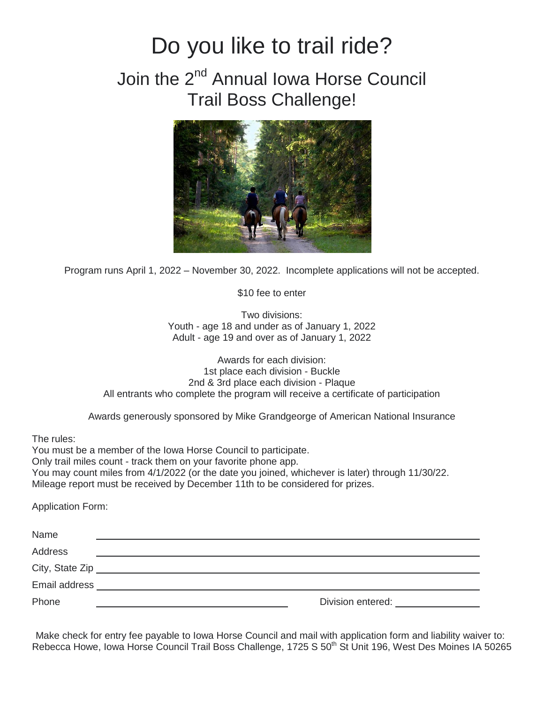## Do you like to trail ride?

## Join the 2<sup>nd</sup> Annual Iowa Horse Council Trail Boss Challenge!



Program runs April 1, 2022 – November 30, 2022. Incomplete applications will not be accepted.

\$10 fee to enter

Two divisions: Youth - age 18 and under as of January 1, 2022 Adult - age 19 and over as of January 1, 2022

Awards for each division: 1st place each division - Buckle 2nd & 3rd place each division - Plaque All entrants who complete the program will receive a certificate of participation

Awards generously sponsored by Mike Grandgeorge of American National Insurance

The rules:

You must be a member of the Iowa Horse Council to participate. Only trail miles count - track them on your favorite phone app. You may count miles from 4/1/2022 (or the date you joined, whichever is later) through 11/30/22. Mileage report must be received by December 11th to be considered for prizes.

Application Form:

| Name            |                   |
|-----------------|-------------------|
| <b>Address</b>  |                   |
| City, State Zip |                   |
| Email address   |                   |
| Phone           | Division entered: |

Make check for entry fee payable to Iowa Horse Council and mail with application form and liability waiver to: Rebecca Howe, Iowa Horse Council Trail Boss Challenge, 1725 S 50<sup>th</sup> St Unit 196, West Des Moines IA 50265